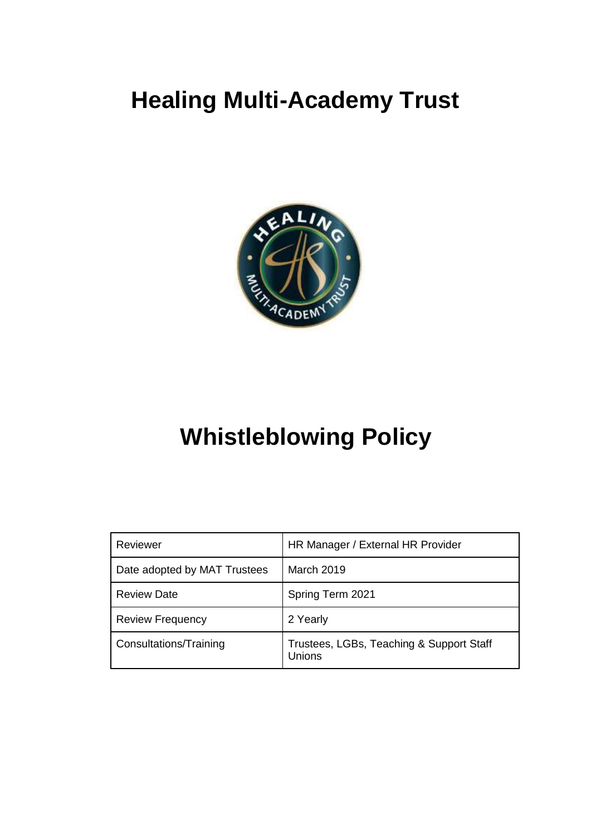# **Healing Multi-Academy Trust**



## **Whistleblowing Policy**

| Reviewer                     | HR Manager / External HR Provider                  |
|------------------------------|----------------------------------------------------|
| Date adopted by MAT Trustees | March 2019                                         |
| <b>Review Date</b>           | Spring Term 2021                                   |
| <b>Review Frequency</b>      | 2 Yearly                                           |
| Consultations/Training       | Trustees, LGBs, Teaching & Support Staff<br>Unions |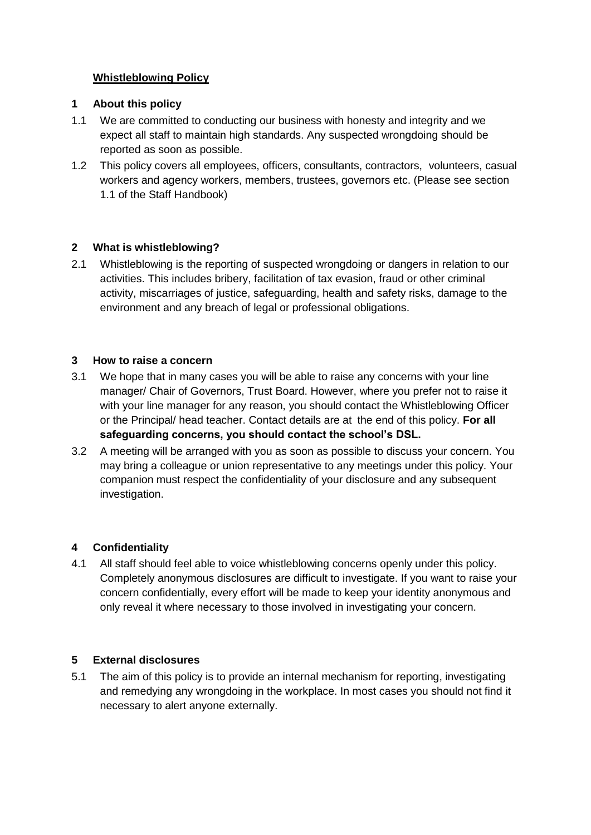### **Whistleblowing Policy**

#### **1 About this policy**

- 1.1 We are committed to conducting our business with honesty and integrity and we expect all staff to maintain high standards. Any suspected wrongdoing should be reported as soon as possible.
- 1.2 This policy covers all employees, officers, consultants, contractors, volunteers, casual workers and agency workers, members, trustees, governors etc. (Please see section 1.1 of the Staff Handbook)

#### **2 What is whistleblowing?**

2.1 Whistleblowing is the reporting of suspected wrongdoing or dangers in relation to our activities. This includes bribery, facilitation of tax evasion, fraud or other criminal activity, miscarriages of justice, safeguarding, health and safety risks, damage to the environment and any breach of legal or professional obligations.

#### **3 How to raise a concern**

- 3.1 We hope that in many cases you will be able to raise any concerns with your line manager/ Chair of Governors, Trust Board. However, where you prefer not to raise it with your line manager for any reason, you should contact the Whistleblowing Officer or the Principal/ head teacher. Contact details are at the end of this policy. **For all safeguarding concerns, you should contact the school's DSL.**
- 3.2 A meeting will be arranged with you as soon as possible to discuss your concern. You may bring a colleague or union representative to any meetings under this policy. Your companion must respect the confidentiality of your disclosure and any subsequent investigation.

#### **4 Confidentiality**

4.1 All staff should feel able to voice whistleblowing concerns openly under this policy. Completely anonymous disclosures are difficult to investigate. If you want to raise your concern confidentially, every effort will be made to keep your identity anonymous and only reveal it where necessary to those involved in investigating your concern.

#### **5 External disclosures**

5.1 The aim of this policy is to provide an internal mechanism for reporting, investigating and remedying any wrongdoing in the workplace. In most cases you should not find it necessary to alert anyone externally.